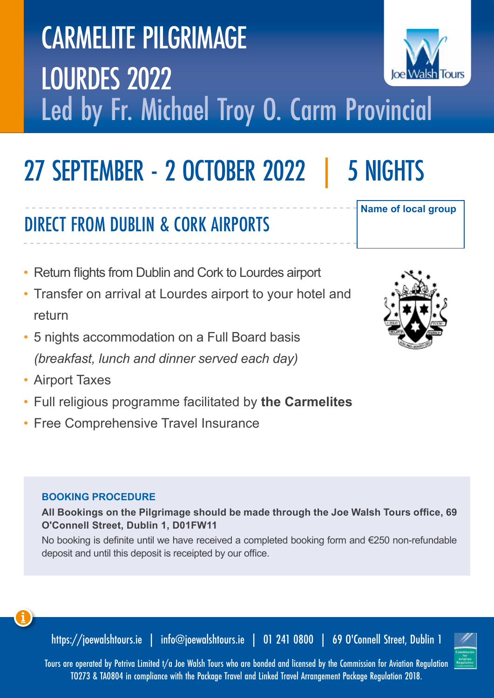# CARMELITE PILGRIMAGE LOURDES 2022 Led by Fr. Michael Troy O. Carm Provincial

## 27 SEPTEMBER - 2 OCTOBER 2022 | 5 NIGHTS

## DIRECT FROM DUBLIN & CORK AIRPORTS

- Return flights from Dublin and Cork to Lourdes airport
- Transfer on arrival at Lourdes airport to your hotel and return
- 5 nights accommodation on a Full Board basis *(breakfast, lunch and dinner served each day)*
- Airport Taxes
- Full religious programme facilitated by **the Carmelites**
- Free Comprehensive Travel Insurance

#### **BOOKING PROCEDURE**

**All Bookings on the Pilgrimage should be made through the Joe Walsh Tours office, 69 O'Connell Street, Dublin 1, D01FW11** 

No booking is definite until we have received a completed booking form and €250 non-refundable deposit and until this deposit is receipted by our office.



https://joewalshtours.ie | info@joewalshtours.ie | 01 241 0800 | 69 O'Connell Street, Dublin 1

TO273 & TA0804 in compliance with the Package Travel and Linked Travel Arrangement Package Regulation 2018.







**Name of local group**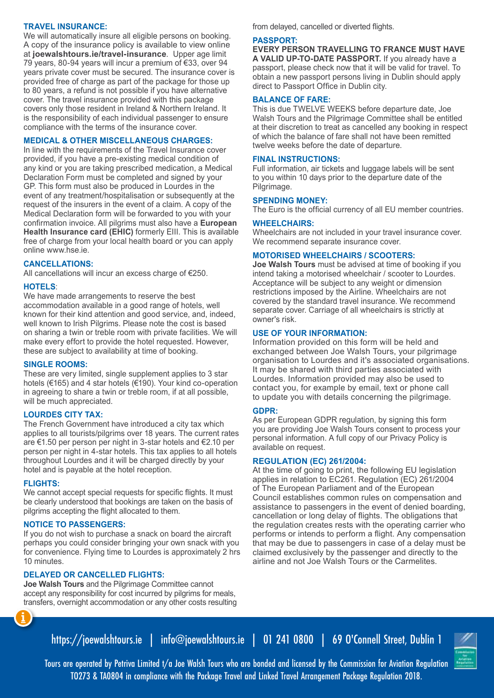#### **TRAVEL INSURANCE:**

We will automatically insure all eligible persons on booking. A copy of the insurance policy is available to view online at **joewalshtours.ie/travel-insurance**. Upper age limit 79 years, 80-94 years will incur a premium of €33, over 94 years private cover must be secured. The insurance cover is provided free of charge as part of the package for those up to 80 years, a refund is not possible if you have alternative cover. The travel insurance provided with this package covers only those resident in Ireland & Northern Ireland. It is the responsibility of each individual passenger to ensure compliance with the terms of the insurance cover.

#### **MEDICAL & OTHER MISCELLANEOUS CHARGES:**

In line with the requirements of the Travel Insurance cover provided, if you have a pre-existing medical condition of any kind or you are taking prescribed medication, a Medical Declaration Form must be completed and signed by your GP. This form must also be produced in Lourdes in the event of any treatment/hospitalisation or subsequently at the request of the insurers in the event of a claim. A copy of the Medical Declaration form will be forwarded to you with your confirmation invoice. All pilgrims must also have a **European Health Insurance card (EHIC)** formerly EIII. This is available free of charge from your local health board or you can apply online www.hse.ie.

#### **CANCELLATIONS:**

All cancellations will incur an excess charge of €250.

#### **HOTELS**:

We have made arrangements to reserve the best accommodation available in a good range of hotels, well known for their kind attention and good service, and, indeed, well known to Irish Pilgrims. Please note the cost is based on sharing a twin or treble room with private facilities. We will make every effort to provide the hotel requested. However, these are subject to availability at time of booking.

#### **SINGLE ROOMS:**

These are very limited, single supplement applies to 3 star hotels (€165) and 4 star hotels (€190). Your kind co-operation in agreeing to share a twin or treble room, if at all possible, will be much appreciated.

#### **LOURDES CITY TAX:**

The French Government have introduced a city tax which applies to all tourists/pilgrims over 18 years. The current rates are €1.50 per person per night in 3-star hotels and €2.10 per person per night in 4-star hotels. This tax applies to all hotels throughout Lourdes and it will be charged directly by your hotel and is payable at the hotel reception.

#### **FLIGHTS:**

We cannot accept special requests for specific flights. It must be clearly understood that bookings are taken on the basis of pilgrims accepting the flight allocated to them.

#### **NOTICE TO PASSENGERS:**

If you do not wish to purchase a snack on board the aircraft perhaps you could consider bringing your own snack with you for convenience. Flying time to Lourdes is approximately 2 hrs 10 minutes.

#### **DELAYED OR CANCELLED FLIGHTS:**

**Joe Walsh Tours** and the Pilgrimage Committee cannot accept any responsibility for cost incurred by pilgrims for meals, transfers, overnight accommodation or any other costs resulting from delayed, cancelled or diverted flights.

#### **PASSPORT:**

**EVERY PERSON TRAVELLING TO FRANCE MUST HAVE A VALID UP-TO-DATE PASSPORT.** If you already have a passport, please check now that it will be valid for travel. To obtain a new passport persons living in Dublin should apply direct to Passport Office in Dublin city.

#### **BALANCE OF FARE:**

This is due TWELVE WEEKS before departure date, Joe Walsh Tours and the Pilgrimage Committee shall be entitled at their discretion to treat as cancelled any booking in respect of which the balance of fare shall not have been remitted twelve weeks before the date of departure.

#### **FINAL INSTRUCTIONS:**

Full information, air tickets and luggage labels will be sent to you within 10 days prior to the departure date of the Pilgrimage.

#### **SPENDING MONEY:**

The Euro is the official currency of all EU member countries.

#### **WHEELCHAIRS:**

Wheelchairs are not included in your travel insurance cover. We recommend separate insurance cover.

#### **MOTORISED WHEELCHAIRS / SCOOTERS:**

**Joe Walsh Tours** must be advised at time of booking if you intend taking a motorised wheelchair / scooter to Lourdes. Acceptance will be subject to any weight or dimension restrictions imposed by the Airline. Wheelchairs are not covered by the standard travel insurance. We recommend separate cover. Carriage of all wheelchairs is strictly at owner's risk.

#### **USE OF YOUR INFORMATION:**

Information provided on this form will be held and exchanged between Joe Walsh Tours, your pilgrimage organisation to Lourdes and it's associated organisations. It may be shared with third parties associated with Lourdes. Information provided may also be used to contact you, for example by email, text or phone call to update you with details concerning the pilgrimage.

#### **GDPR:**

As per European GDPR regulation, by signing this form you are providing Joe Walsh Tours consent to process your personal information. A full copy of our Privacy Policy is available on request.

#### **REGULATION (EC) 261/2004:**

At the time of going to print, the following EU legislation applies in relation to EC261. Regulation (EC) 261/2004 of The European Parliament and of the European Council establishes common rules on compensation and assistance to passengers in the event of denied boarding, cancellation or long delay of flights. The obligations that the regulation creates rests with the operating carrier who performs or intends to perform a flight. Any compensation that may be due to passengers in case of a delay must be claimed exclusively by the passenger and directly to the airline and not Joe Walsh Tours or the Carmelites.



Tours are operated by Petriva Limited t/a Joe Walsh Tours who are bonded and licensed by the Commission for Aviation Regulation TO273 & TA0804 in compliance with the Package Travel and Linked Travel Arrangement Package Regulation 2018.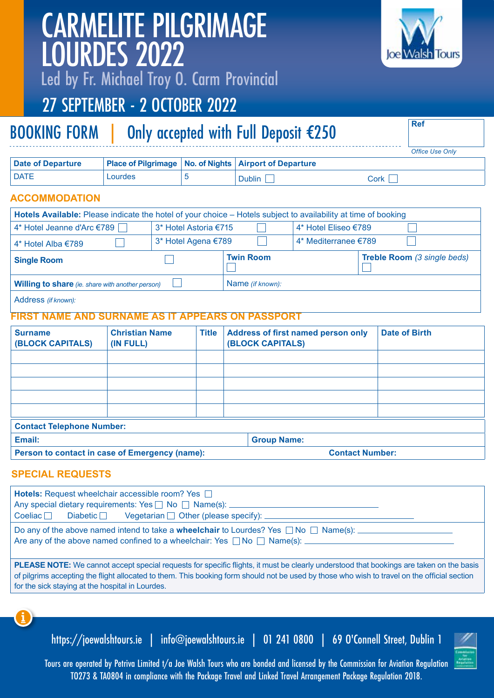| <b>PLEASE NOTE:</b> We cannot accept special requests for specific flights, it must be clearly understood that bookings are taken on tl<br>of pilgrims accepting the flight allocated to them. This booking form should not be used by those who wish to travel on the official s<br>for the sick staying at the hospital in Lourdes. |
|---------------------------------------------------------------------------------------------------------------------------------------------------------------------------------------------------------------------------------------------------------------------------------------------------------------------------------------|
| 0                                                                                                                                                                                                                                                                                                                                     |
| https://joewalshtours.ie   info@joewalshtours.ie   01 241 0800   69 0'Connell Street, Dublin 1                                                                                                                                                                                                                                        |
| Tours are operated by Petriva Limited t/a Joe Walsh Tours who are bonded and licensed by the Commission for Aviation Regulation<br>TO273 & TA0804 in compliance with the Package Travel and Linked Travel Arrangement Package Regulation 2018.                                                                                        |

## CARMELITE PILGRIMAGE LOURDES 2022

Led by Fr. Michael Troy O. Carm Provincial

### 27 SEPTEMBER - 2 OCTOBER 2022

## BOOKING FORM | Only accepted with Full Deposit €250

*Office Use Only*

| Date of Departure |         | Place of Pilgrimage   No. of Nights   Airport of Departure |      |
|-------------------|---------|------------------------------------------------------------|------|
| l DATE            | Lourdes | <b>Dublin</b>                                              | Cork |

#### **ACCOMMODATION**

| Hotels Available: Please indicate the hotel of your choice – Hotels subject to availability at time of booking |                       |                  |                      |                             |
|----------------------------------------------------------------------------------------------------------------|-----------------------|------------------|----------------------|-----------------------------|
| 4* Hotel Jeanne d'Arc €789                                                                                     | 3* Hotel Astoria €715 |                  | 4* Hotel Eliseo €789 |                             |
| 4* Hotel Alba €789                                                                                             | 3* Hotel Agena €789   |                  | 4* Mediterranee €789 |                             |
| <b>Single Room</b>                                                                                             |                       | <b>Twin Room</b> |                      | Treble Room (3 single beds) |
| <b>Willing to share</b> (ie. share with another person)<br>Name (if known):                                    |                       |                  |                      |                             |
| Address (if known):                                                                                            |                       |                  |                      |                             |

#### **FIRST NAME AND SURNAME AS IT APPEARS ON PASSPORT**

| <b>Surname</b><br><b>(BLOCK CAPITALS)</b>      | <b>Christian Name</b><br>(IN FULL) | <b>Title</b> | <b>Address of first named person only</b><br><b>(BLOCK CAPITALS)</b> | <b>Date of Birth</b> |
|------------------------------------------------|------------------------------------|--------------|----------------------------------------------------------------------|----------------------|
|                                                |                                    |              |                                                                      |                      |
|                                                |                                    |              |                                                                      |                      |
|                                                |                                    |              |                                                                      |                      |
|                                                |                                    |              |                                                                      |                      |
|                                                |                                    |              |                                                                      |                      |
| <b>Contact Telephone Number:</b>               |                                    |              |                                                                      |                      |
| Email:                                         |                                    |              | <b>Group Name:</b>                                                   |                      |
| Person to contact in case of Emergency (name): |                                    |              | <b>Contact Number:</b>                                               |                      |

#### **SPECIAL REQUESTS**

| <b>Hotels:</b> Request wheelchair accessible room? Yes<br>Any special dietary requirements: Yes 1 No 1 Name(s): 1<br>$Coeliac$ Diabetic Vegetarian Other (please specify): _______________________________                                                                                     |
|------------------------------------------------------------------------------------------------------------------------------------------------------------------------------------------------------------------------------------------------------------------------------------------------|
| Do any of the above named intend to take a <b>wheelchair</b> to Lourdes? Yes $\Box$ No $\Box$ Name(s): $\Box$<br>Are any of the above named confined to a wheelchair: Yes $\Box$ No $\Box$ Name(s):                                                                                            |
| <b>PLEASE NOTE:</b> We cannot accept special requests for specific flights, it must be clearly understood that bookings are taken on the basis<br>of pilgrims accepting the flight allocated to them. This booking form should not be used by those who wish to travel on the official section |